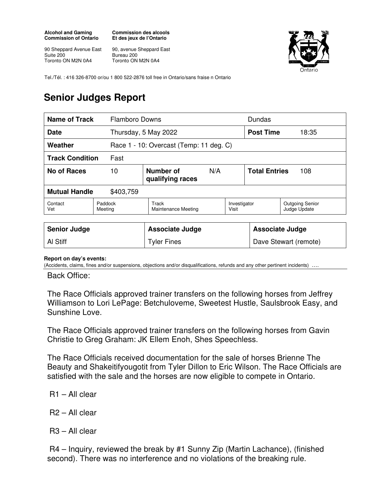## **Alcohol and Gaming Commission of Ontario**

**Commission des alcools Et des jeux de l'Ontario** 

90 Sheppard Avenue East Suite 200 Toronto ON M2N 0A4

90, avenue Sheppard East Bureau 200 Toronto ON M2N 0A4



Tel./Tél. : 416 326-8700 or/ou 1 800 522-2876 toll free in Ontario/sans fraise n Ontario

## **Senior Judges Report**

| Name of Track                     |                    | <b>Flamboro Downs</b>                   |     |                       |                      | Dundas                                 |  |
|-----------------------------------|--------------------|-----------------------------------------|-----|-----------------------|----------------------|----------------------------------------|--|
| <b>Date</b>                       |                    | Thursday, 5 May 2022                    |     |                       | <b>Post Time</b>     | 18:35                                  |  |
| Weather                           |                    | Race 1 - 10: Overcast (Temp: 11 deg. C) |     |                       |                      |                                        |  |
| <b>Track Condition</b>            | Fast               |                                         |     |                       |                      |                                        |  |
| No of Races                       | 10                 | Number of<br>qualifying races           | N/A |                       | <b>Total Entries</b> | 108                                    |  |
| <b>Mutual Handle</b><br>\$403,759 |                    |                                         |     |                       |                      |                                        |  |
| Contact<br>Vet                    | Paddock<br>Meeting | Track<br>Maintenance Meeting            |     | Investigator<br>Visit |                      | <b>Outgoing Senior</b><br>Judge Update |  |

| <b>Senior Judge</b> | <b>Associate Judge</b> | <b>Associate Judge</b> |
|---------------------|------------------------|------------------------|
| <b>Al Stiff</b>     | <b>Tyler Fines</b>     | Dave Stewart (remote)  |

## **Report on day's events:**

(Accidents, claims, fines and/or suspensions, objections and/or disqualifications, refunds and any other pertinent incidents) ….

Back Office:

The Race Officials approved trainer transfers on the following horses from Jeffrey Williamson to Lori LePage: Betchuloveme, Sweetest Hustle, Saulsbrook Easy, and Sunshine Love.

The Race Officials approved trainer transfers on the following horses from Gavin Christie to Greg Graham: JK Ellem Enoh, Shes Speechless.

The Race Officials received documentation for the sale of horses Brienne The Beauty and Shakeitifyougotit from Tyler Dillon to Eric Wilson. The Race Officials are satisfied with the sale and the horses are now eligible to compete in Ontario.

- R1 All clear
- R2 All clear
- R3 All clear

 R4 – Inquiry, reviewed the break by #1 Sunny Zip (Martin Lachance), (finished second). There was no interference and no violations of the breaking rule.